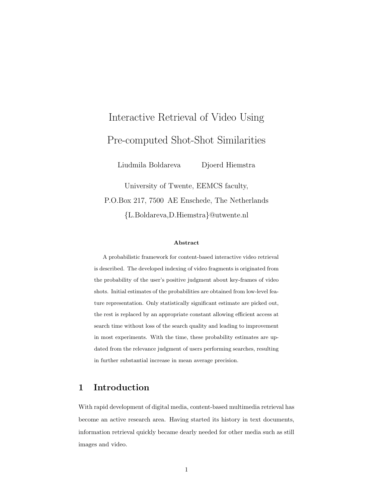# Interactive Retrieval of Video Using Pre-computed Shot-Shot Similarities

Liudmila Boldareva Djoerd Hiemstra

University of Twente, EEMCS faculty, P.O.Box 217, 7500 AE Enschede, The Netherlands {L.Boldareva,D.Hiemstra}@utwente.nl

#### Abstract

A probabilistic framework for content-based interactive video retrieval is described. The developed indexing of video fragments is originated from the probability of the user's positive judgment about key-frames of video shots. Initial estimates of the probabilities are obtained from low-level feature representation. Only statistically significant estimate are picked out, the rest is replaced by an appropriate constant allowing efficient access at search time without loss of the search quality and leading to improvement in most experiments. With the time, these probability estimates are updated from the relevance judgment of users performing searches, resulting in further substantial increase in mean average precision.

# 1 Introduction

With rapid development of digital media, content-based multimedia retrieval has become an active research area. Having started its history in text documents, information retrieval quickly became dearly needed for other media such as still images and video.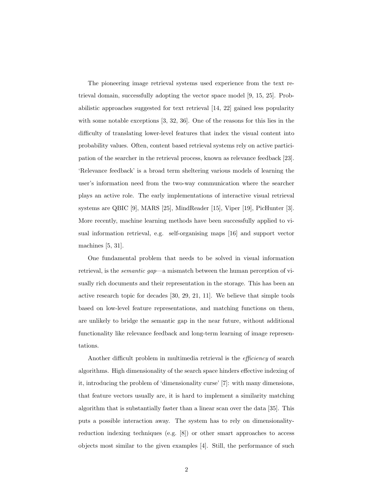The pioneering image retrieval systems used experience from the text retrieval domain, successfully adopting the vector space model [9, 15, 25]. Probabilistic approaches suggested for text retrieval [14, 22] gained less popularity with some notable exceptions [3, 32, 36]. One of the reasons for this lies in the difficulty of translating lower-level features that index the visual content into probability values. Often, content based retrieval systems rely on active participation of the searcher in the retrieval process, known as relevance feedback [23]. 'Relevance feedback' is a broad term sheltering various models of learning the user's information need from the two-way communication where the searcher plays an active role. The early implementations of interactive visual retrieval systems are QBIC [9], MARS [25], MindReader [15], Viper [19], PicHunter [3]. More recently, machine learning methods have been successfully applied to visual information retrieval, e.g. self-organising maps [16] and support vector machines [5, 31].

One fundamental problem that needs to be solved in visual information retrieval, is the semantic gap—a mismatch between the human perception of visually rich documents and their representation in the storage. This has been an active research topic for decades [30, 29, 21, 11]. We believe that simple tools based on low-level feature representations, and matching functions on them, are unlikely to bridge the semantic gap in the near future, without additional functionality like relevance feedback and long-term learning of image representations.

Another difficult problem in multimedia retrieval is the efficiency of search algorithms. High dimensionality of the search space hinders effective indexing of it, introducing the problem of 'dimensionality curse' [7]: with many dimensions, that feature vectors usually are, it is hard to implement a similarity matching algorithm that is substantially faster than a linear scan over the data [35]. This puts a possible interaction away. The system has to rely on dimensionalityreduction indexing techniques (e.g. [8]) or other smart approaches to access objects most similar to the given examples [4]. Still, the performance of such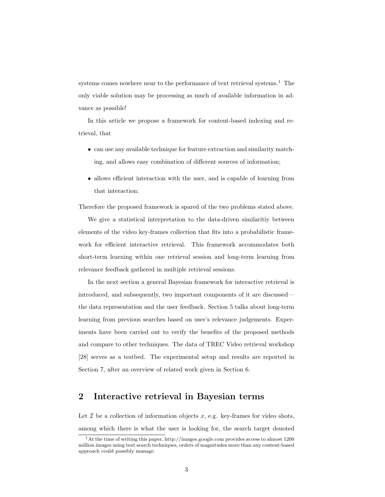systems comes nowhere near to the performance of text retrieval systems.<sup>1</sup> The only viable solution may be processing as much of available information in advance as possible!

In this article we propose a framework for content-based indexing and retrieval, that

- can use any available technique for feature extraction and similarity matching, and allows easy combination of different sources of information;
- allows efficient interaction with the user, and is capable of learning from that interaction;

Therefore the proposed framework is spared of the two problems stated above.

We give a statistical interpretation to the data-driven similaritiy between elements of the video key-frames collection that fits into a probabilistic framework for efficient interactive retrieval. This framework accommodates both short-term learning within one retrieval session and long-term learning from relevance feedback gathered in multiple retrieval sessions.

In the next section a general Bayesian framework for interactive retrieval is introduced, and subsequently, two important components of it are discussed the data representation and the user feedback. Section 5 talks about long-term learning from previous searches based on user's relevance judgements. Experiments have been carried out to verify the benefits of the proposed methods and compare to other techniques. The data of TREC Video retrieval workshop [28] serves as a testbed. The experimental setup and results are reported in Section 7, after an overview of related work given in Section 6.

# 2 Interactive retrieval in Bayesian terms

Let  $\mathcal I$  be a collection of information objects  $x$ , e.g. key-frames for video shots, among which there is what the user is looking for, the search target denoted

<sup>1</sup>At the time of writing this paper, http://images.google.com provides access to almost 1200 million images using text search techniques, orders of magnitudes more than any content-based approach could possibly manage.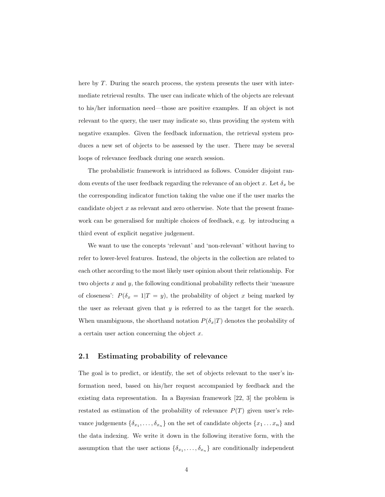here by T. During the search process, the system presents the user with intermediate retrieval results. The user can indicate which of the objects are relevant to his/her information need—those are positive examples. If an object is not relevant to the query, the user may indicate so, thus providing the system with negative examples. Given the feedback information, the retrieval system produces a new set of objects to be assessed by the user. There may be several loops of relevance feedback during one search session.

The probabilistic framework is intriduced as follows. Consider disjoint random events of the user feedback regarding the relevance of an object x. Let  $\delta_x$  be the corresponding indicator function taking the value one if the user marks the candidate object x as relevant and zero otherwise. Note that the present framework can be generalised for multiple choices of feedback, e.g. by introducing a third event of explicit negative judgement.

We want to use the concepts 'relevant' and 'non-relevant' without having to refer to lower-level features. Instead, the objects in the collection are related to each other according to the most likely user opinion about their relationship. For two objects  $x$  and  $y$ , the following conditional probability reflects their 'measure of closeness':  $P(\delta_x = 1|T = y)$ , the probability of object x being marked by the user as relevant given that  $y$  is referred to as the target for the search. When unambiguous, the shorthand notation  $P(\delta_x|T)$  denotes the probability of a certain user action concerning the object x.

### 2.1 Estimating probability of relevance

The goal is to predict, or identify, the set of objects relevant to the user's information need, based on his/her request accompanied by feedback and the existing data representation. In a Bayesian framework [22, 3] the problem is restated as estimation of the probability of relevance  $P(T)$  given user's relevance judgements  $\{\delta_{x_1},\ldots,\delta_{x_n}\}$  on the set of candidate objects  $\{x_1\ldots x_n\}$  and the data indexing. We write it down in the following iterative form, with the assumption that the user actions  $\{\delta_{x_1}, \ldots, \delta_{x_n}\}$  are conditionally independent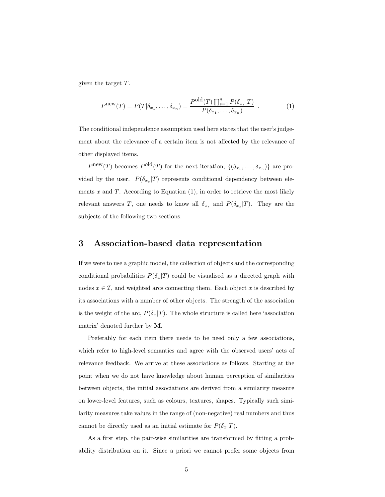given the target T.

$$
P^{\text{new}}(T) = P(T|\delta_{x_1}, \dots, \delta_{x_n}) = \frac{P^{\text{old}}(T) \prod_{s=1}^n P(\delta_{x_s}|T)}{P(\delta_{x_1}, \dots, \delta_{x_n})} \tag{1}
$$

The conditional independence assumption used here states that the user's judgement about the relevance of a certain item is not affected by the relevance of other displayed items.

 $P^{\text{new}}(T)$  becomes  $P^{\text{old}}(T)$  for the next iteration;  $\{(\delta_{x_1},\ldots,\delta_{x_n})\}$  are provided by the user.  $P(\delta_{x_s}|T)$  represents conditional dependency between elements  $x$  and  $T$ . According to Equation  $(1)$ , in order to retrieve the most likely relevant answers T, one needs to know all  $\delta_{x_s}$  and  $P(\delta_{x_s}|T)$ . They are the subjects of the following two sections.

### 3 Association-based data representation

If we were to use a graphic model, the collection of objects and the corresponding conditional probabilities  $P(\delta_x|T)$  could be visualised as a directed graph with nodes  $x \in \mathcal{I}$ , and weighted arcs connecting them. Each object x is described by its associations with a number of other objects. The strength of the association is the weight of the arc,  $P(\delta_x|T)$ . The whole structure is called here 'association matrix' denoted further by M.

Preferably for each item there needs to be need only a few associations, which refer to high-level semantics and agree with the observed users' acts of relevance feedback. We arrive at these associations as follows. Starting at the point when we do not have knowledge about human perception of similarities between objects, the initial associations are derived from a similarity measure on lower-level features, such as colours, textures, shapes. Typically such similarity measures take values in the range of (non-negative) real numbers and thus cannot be directly used as an initial estimate for  $P(\delta_x|T)$ .

As a first step, the pair-wise similarities are transformed by fitting a probability distribution on it. Since a priori we cannot prefer some objects from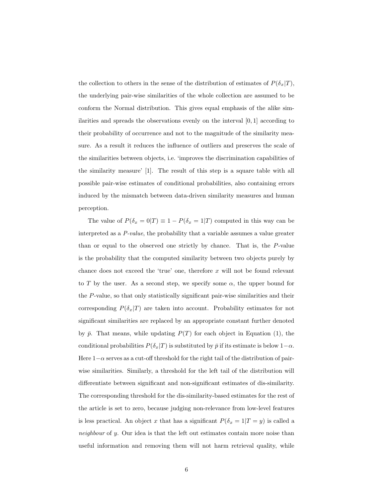the collection to others in the sense of the distribution of estimates of  $P(\delta_x|T)$ , the underlying pair-wise similarities of the whole collection are assumed to be conform the Normal distribution. This gives equal emphasis of the alike similarities and spreads the observations evenly on the interval [0, 1] according to their probability of occurrence and not to the magnitude of the similarity measure. As a result it reduces the influence of outliers and preserves the scale of the similarities between objects, i.e. 'improves the discrimination capabilities of the similarity measure' [1]. The result of this step is a square table with all possible pair-wise estimates of conditional probabilities, also containing errors induced by the mismatch between data-driven similarity measures and human perception.

The value of  $P(\delta_x = 0|T) \equiv 1 - P(\delta_x = 1|T)$  computed in this way can be interpreted as a P-value, the probability that a variable assumes a value greater than or equal to the observed one strictly by chance. That is, the P-value is the probability that the computed similarity between two objects purely by chance does not exceed the 'true' one, therefore  $x$  will not be found relevant to T by the user. As a second step, we specify some  $\alpha$ , the upper bound for the P-value, so that only statistically significant pair-wise similarities and their corresponding  $P(\delta_x|T)$  are taken into account. Probability estimates for not significant similarities are replaced by an appropriate constant further denoted by  $\bar{p}$ . That means, while updating  $P(T)$  for each object in Equation (1), the conditional probabilities  $P(\delta_x|T)$  is substituted by  $\bar{p}$  if its estimate is below  $1-\alpha$ . Here  $1-\alpha$  serves as a cut-off threshold for the right tail of the distribution of pairwise similarities. Similarly, a threshold for the left tail of the distribution will differentiate between significant and non-significant estimates of dis-similarity. The corresponding threshold for the dis-similarity-based estimates for the rest of the article is set to zero, because judging non-relevance from low-level features is less practical. An object x that has a significant  $P(\delta_x = 1|T = y)$  is called a neighbour of y. Our idea is that the left out estimates contain more noise than useful information and removing them will not harm retrieval quality, while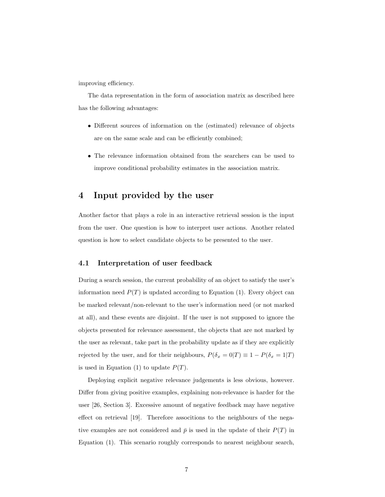improving efficiency.

The data representation in the form of association matrix as described here has the following advantages:

- Different sources of information on the (estimated) relevance of objects are on the same scale and can be efficiently combined;
- The relevance information obtained from the searchers can be used to improve conditional probability estimates in the association matrix.

### 4 Input provided by the user

Another factor that plays a role in an interactive retrieval session is the input from the user. One question is how to interpret user actions. Another related question is how to select candidate objects to be presented to the user.

### 4.1 Interpretation of user feedback

During a search session, the current probability of an object to satisfy the user's information need  $P(T)$  is updated according to Equation (1). Every object can be marked relevant/non-relevant to the user's information need (or not marked at all), and these events are disjoint. If the user is not supposed to ignore the objects presented for relevance assessment, the objects that are not marked by the user as relevant, take part in the probability update as if they are explicitly rejected by the user, and for their neighbours,  $P(\delta_x = 0|T) \equiv 1 - P(\delta_x = 1|T)$ is used in Equation (1) to update  $P(T)$ .

Deploying explicit negative relevance judgements is less obvious, however. Differ from giving positive examples, explaining non-relevance is harder for the user [26, Section 3]. Excessive amount of negative feedback may have negative effect on retrieval [19]. Therefore associtions to the neighbours of the negative examples are not considered and  $\bar{p}$  is used in the update of their  $P(T)$  in Equation (1). This scenario roughly corresponds to nearest neighbour search,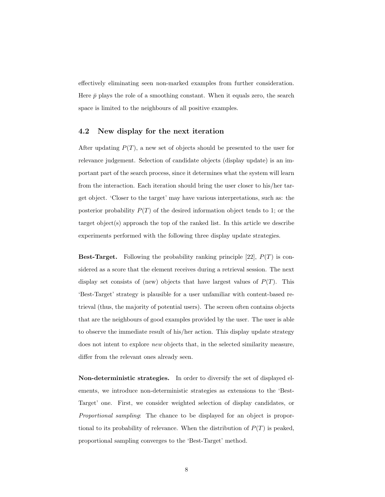effectively eliminating seen non-marked examples from further consideration. Here  $\bar{p}$  plays the role of a smoothing constant. When it equals zero, the search space is limited to the neighbours of all positive examples.

### 4.2 New display for the next iteration

After updating  $P(T)$ , a new set of objects should be presented to the user for relevance judgement. Selection of candidate objects (display update) is an important part of the search process, since it determines what the system will learn from the interaction. Each iteration should bring the user closer to his/her target object. 'Closer to the target' may have various interpretations, such as: the posterior probability  $P(T)$  of the desired information object tends to 1; or the target object(s) approach the top of the ranked list. In this article we describe experiments performed with the following three display update strategies.

**Best-Target.** Following the probability ranking principle [22],  $P(T)$  is considered as a score that the element receives during a retrieval session. The next display set consists of (new) objects that have largest values of  $P(T)$ . This 'Best-Target' strategy is plausible for a user unfamiliar with content-based retrieval (thus, the majority of potential users). The screen often contains objects that are the neighbours of good examples provided by the user. The user is able to observe the immediate result of his/her action. This display update strategy does not intent to explore new objects that, in the selected similarity measure, differ from the relevant ones already seen.

Non-deterministic strategies. In order to diversify the set of displayed elements, we introduce non-deterministic strategies as extensions to the 'Best-Target' one. First, we consider weighted selection of display candidates, or Proportional sampling: The chance to be displayed for an object is proportional to its probability of relevance. When the distribution of  $P(T)$  is peaked, proportional sampling converges to the 'Best-Target' method.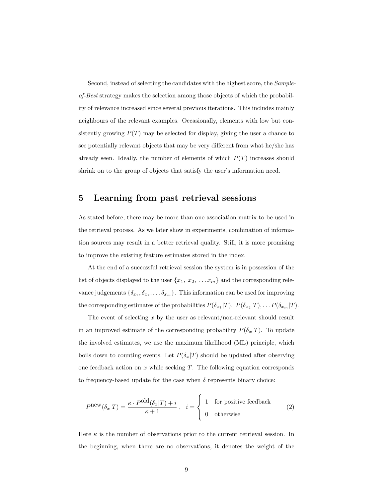Second, instead of selecting the candidates with the highest score, the Sampleof-Best strategy makes the selection among those objects of which the probability of relevance increased since several previous iterations. This includes mainly neighbours of the relevant examples. Occasionally, elements with low but consistently growing  $P(T)$  may be selected for display, giving the user a chance to see potentially relevant objects that may be very different from what he/she has already seen. Ideally, the number of elements of which  $P(T)$  increases should shrink on to the group of objects that satisfy the user's information need.

## 5 Learning from past retrieval sessions

As stated before, there may be more than one association matrix to be used in the retrieval process. As we later show in experiments, combination of information sources may result in a better retrieval quality. Still, it is more promising to improve the existing feature estimates stored in the index.

At the end of a successful retrieval session the system is in possession of the list of objects displayed to the user  $\{x_1, x_2, \ldots x_m\}$  and the corresponding relevance judgements  $\{\delta_{x_1}, \delta_{x_2}, \ldots \delta_{x_m}\}$ . This information can be used for improving the corresponding estimates of the probabilities  $P(\delta_{x_1}|T), P(\delta_{x_2}|T), \ldots P(\delta_{x_m}|T)$ .

The event of selecting  $x$  by the user as relevant/non-relevant should result in an improved estimate of the corresponding probability  $P(\delta_x|T)$ . To update the involved estimates, we use the maximum likelihood (ML) principle, which boils down to counting events. Let  $P(\delta_x|T)$  should be updated after observing one feedback action on  $x$  while seeking  $T$ . The following equation corresponds to frequency-based update for the case when  $\delta$  represents binary choice:

$$
P^{\text{new}}(\delta_x|T) = \frac{\kappa \cdot P^{\text{old}}(\delta_x|T) + i}{\kappa + 1}, \quad i = \begin{cases} 1 & \text{for positive feedback} \\ 0 & \text{otherwise} \end{cases} \tag{2}
$$

Here  $\kappa$  is the number of observations prior to the current retrieval session. In the beginning, when there are no observations, it denotes the weight of the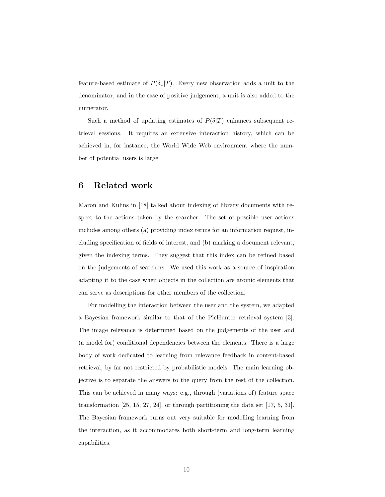feature-based estimate of  $P(\delta_x|T)$ . Every new observation adds a unit to the denominator, and in the case of positive judgement, a unit is also added to the numerator.

Such a method of updating estimates of  $P(\delta|T)$  enhances subsequent retrieval sessions. It requires an extensive interaction history, which can be achieved in, for instance, the World Wide Web environment where the number of potential users is large.

# 6 Related work

Maron and Kuhns in [18] talked about indexing of library documents with respect to the actions taken by the searcher. The set of possible user actions includes among others (a) providing index terms for an information request, including specification of fields of interest, and (b) marking a document relevant, given the indexing terms. They suggest that this index can be refined based on the judgements of searchers. We used this work as a source of inspiration adapting it to the case when objects in the collection are atomic elements that can serve as descriptions for other members of the collection.

For modelling the interaction between the user and the system, we adapted a Bayesian framework similar to that of the PicHunter retrieval system [3]. The image relevance is determined based on the judgements of the user and (a model for) conditional dependencies between the elements. There is a large body of work dedicated to learning from relevance feedback in content-based retrieval, by far not restricted by probabilistic models. The main learning objective is to separate the answers to the query from the rest of the collection. This can be achieved in many ways: e.g., through (variations of) feature space transformation [25, 15, 27, 24], or through partitioning the data set [17, 5, 31]. The Bayesian framework turns out very suitable for modelling learning from the interaction, as it accommodates both short-term and long-term learning capabilities.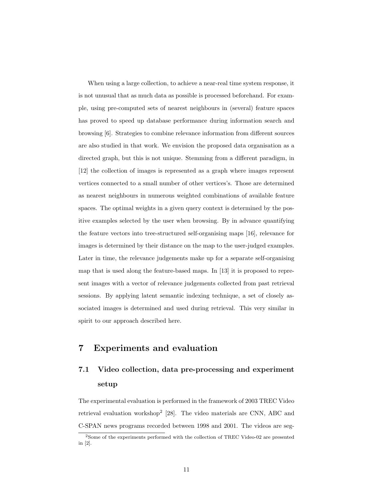When using a large collection, to achieve a near-real time system response, it is not unusual that as much data as possible is processed beforehand. For example, using pre-computed sets of nearest neighbours in (several) feature spaces has proved to speed up database performance during information search and browsing [6]. Strategies to combine relevance information from different sources are also studied in that work. We envision the proposed data organisation as a directed graph, but this is not unique. Stemming from a different paradigm, in [12] the collection of images is represented as a graph where images represent vertices connected to a small number of other vertices's. Those are determined as nearest neighbours in numerous weighted combinations of available feature spaces. The optimal weights in a given query context is determined by the positive examples selected by the user when browsing. By in advance quantifying the feature vectors into tree-structured self-organising maps [16], relevance for images is determined by their distance on the map to the user-judged examples. Later in time, the relevance judgements make up for a separate self-organising map that is used along the feature-based maps. In [13] it is proposed to represent images with a vector of relevance judgements collected from past retrieval sessions. By applying latent semantic indexing technique, a set of closely associated images is determined and used during retrieval. This very similar in spirit to our approach described here.

# 7 Experiments and evaluation

# 7.1 Video collection, data pre-processing and experiment setup

The experimental evaluation is performed in the framework of 2003 TREC Video retrieval evaluation workshop<sup>2</sup> [28]. The video materials are CNN, ABC and C-SPAN news programs recorded between 1998 and 2001. The videos are seg-

 $^2$ Some of the experiments performed with the collection of TREC Video-02 are presented in [2].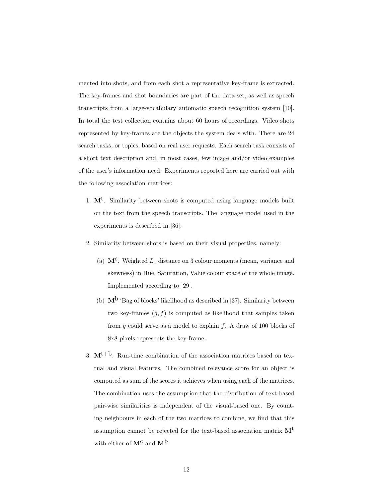mented into shots, and from each shot a representative key-frame is extracted. The key-frames and shot boundaries are part of the data set, as well as speech transcripts from a large-vocabulary automatic speech recognition system [10]. In total the test collection contains about 60 hours of recordings. Video shots represented by key-frames are the objects the system deals with. There are 24 search tasks, or topics, based on real user requests. Each search task consists of a short text description and, in most cases, few image and/or video examples of the user's information need. Experiments reported here are carried out with the following association matrices:

- 1.  $M<sup>t</sup>$ . Similarity between shots is computed using language models built on the text from the speech transcripts. The language model used in the experiments is described in [36].
- 2. Similarity between shots is based on their visual properties, namely:
	- (a)  $M^c$ . Weighted  $L_1$  distance on 3 colour moments (mean, variance and skewness) in Hue, Saturation, Value colour space of the whole image. Implemented according to [29].
	- (b)  $\mathbf{M}^{\text{b}}$  'Bag of blocks' likelihood as described in [37]. Similarity between two key-frames  $(g, f)$  is computed as likelihood that samples taken from  $g$  could serve as a model to explain  $f$ . A draw of 100 blocks of 8x8 pixels represents the key-frame.
- 3.  $M<sup>t+b</sup>$ . Run-time combination of the association matrices based on textual and visual features. The combined relevance score for an object is computed as sum of the scores it achieves when using each of the matrices. The combination uses the assumption that the distribution of text-based pair-wise similarities is independent of the visual-based one. By counting neighbours in each of the two matrices to combine, we find that this assumption cannot be rejected for the text-based association matrix  $M<sup>t</sup>$ with either of  $\mathbf{M}^{\mathbf{C}}$  and  $\mathbf{M}^{\mathbf{b}}$ .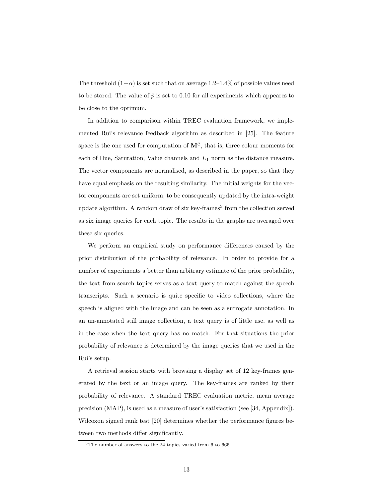The threshold  $(1-\alpha)$  is set such that on average 1.2–1.4% of possible values need to be stored. The value of  $\bar{p}$  is set to 0.10 for all experiments which appeares to be close to the optimum.

In addition to comparison within TREC evaluation framework, we implemented Rui's relevance feedback algorithm as described in [25]. The feature space is the one used for computation of  $M^C$ , that is, three colour moments for each of Hue, Saturation, Value channels and  $L_1$  norm as the distance measure. The vector components are normalised, as described in the paper, so that they have equal emphasis on the resulting similarity. The initial weights for the vector components are set uniform, to be consequently updated by the intra-weight update algorithm. A random draw of six key-frames<sup>3</sup> from the collection served as six image queries for each topic. The results in the graphs are averaged over these six queries.

We perform an empirical study on performance differences caused by the prior distribution of the probability of relevance. In order to provide for a number of experiments a better than arbitrary estimate of the prior probability, the text from search topics serves as a text query to match against the speech transcripts. Such a scenario is quite specific to video collections, where the speech is aligned with the image and can be seen as a surrogate annotation. In an un-annotated still image collection, a text query is of little use, as well as in the case when the text query has no match. For that situations the prior probability of relevance is determined by the image queries that we used in the Rui's setup.

A retrieval session starts with browsing a display set of 12 key-frames generated by the text or an image query. The key-frames are ranked by their probability of relevance. A standard TREC evaluation metric, mean average precision (MAP), is used as a measure of user's satisfaction (see [34, Appendix]). Wilcoxon signed rank test [20] determines whether the performance figures between two methods differ significantly.

<sup>&</sup>lt;sup>3</sup>The number of answers to the 24 topics varied from 6 to 665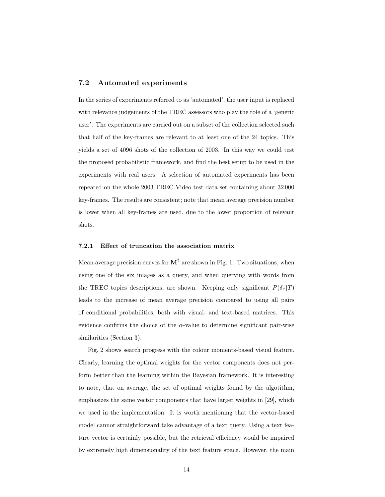### 7.2 Automated experiments

In the series of experiments referred to as 'automated', the user input is replaced with relevance judgements of the TREC assessors who play the role of a 'generic user'. The experiments are carried out on a subset of the collection selected such that half of the key-frames are relevant to at least one of the 24 topics. This yields a set of 4096 shots of the collection of 2003. In this way we could test the proposed probabilistic framework, and find the best setup to be used in the experiments with real users. A selection of automated experiments has been repeated on the whole 2003 TREC Video test data set containing about 32 000 key-frames. The results are consistent; note that mean average precision number is lower when all key-frames are used, due to the lower proportion of relevant shots.

### 7.2.1 Effect of truncation the association matrix

Mean average precision curves for  $M<sup>t</sup>$  are shown in Fig. 1. Two situations, when using one of the six images as a query, and when querying with words from the TREC topics descriptions, are shown. Keeping only significant  $P(\delta_x|T)$ leads to the increase of mean average precision compared to using all pairs of conditional probabilities, both with visual- and text-based matrices. This evidence confirms the choice of the  $\alpha$ -value to determine significant pair-wise similarities (Section 3).

Fig. 2 shows search progress with the colour moments-based visual feature. Clearly, learning the optimal weights for the vector components does not perform better than the learning within the Bayesian framework. It is interesting to note, that on average, the set of optimal weights found by the algotithm, emphasizes the same vector components that have larger weights in [29], which we used in the implementation. It is worth mentioning that the vector-based model cannot straightforward take advantage of a text query. Using a text feature vector is certainly possible, but the retrieval efficiency would be impaired by extremely high dimensionality of the text feature space. However, the main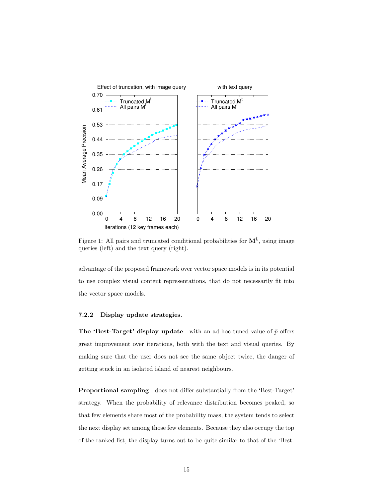

Figure 1: All pairs and truncated conditional probabilities for  $M<sup>t</sup>$ , using image queries (left) and the text query (right).

advantage of the proposed framework over vector space models is in its potential to use complex visual content representations, that do not necessarily fit into the vector space models.

### 7.2.2 Display update strategies.

The 'Best-Target' display update with an ad-hoc tuned value of  $\bar{p}$  offers great improvement over iterations, both with the text and visual queries. By making sure that the user does not see the same object twice, the danger of getting stuck in an isolated island of nearest neighbours.

Proportional sampling does not differ substantially from the 'Best-Target' strategy. When the probability of relevance distribution becomes peaked, so that few elements share most of the probability mass, the system tends to select the next display set among those few elements. Because they also occupy the top of the ranked list, the display turns out to be quite similar to that of the 'Best-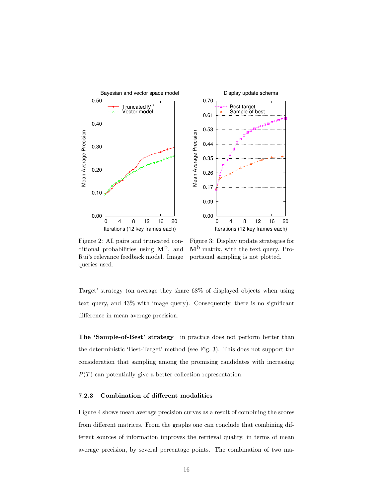

Figure 2: All pairs and truncated conditional probabilities using  $M^b$ , and Rui's relevance feedback model. Image queries used.

Figure 3: Display update strategies for  $M^b$  matrix, with the text query. Proportional sampling is not plotted.

Target' strategy (on average they share 68% of displayed objects when using text query, and 43% with image query). Consequently, there is no significant difference in mean average precision.

The 'Sample-of-Best' strategy in practice does not perform better than the deterministic 'Best-Target' method (see Fig. 3). This does not support the consideration that sampling among the promising candidates with increasing  $P(T)$  can potentially give a better collection representation.

#### 7.2.3 Combination of different modalities

Figure 4 shows mean average precision curves as a result of combining the scores from different matrices. From the graphs one can conclude that combining different sources of information improves the retrieval quality, in terms of mean average precision, by several percentage points. The combination of two ma-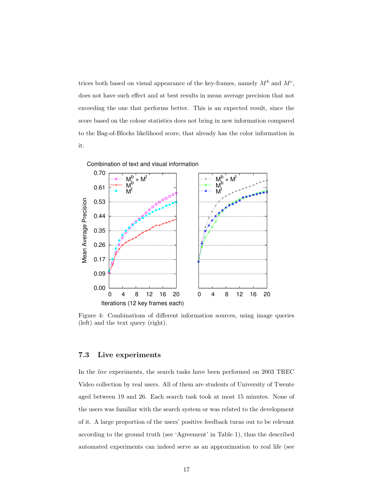trices both based on visual appearance of the key-frames, namely  $M^b$  and  $M^c$ , does not have such effect and at best results in mean average precision that not exceeding the one that performs better. This is an expected result, since the score based on the colour statistics does not bring in new information compared to the Bag-of-Blocks likelihood score, that already has the color information in it.



Figure 4: Combinations of different information sources, using image queries (left) and the text query (right).

### 7.3 Live experiments

In the live experiments, the search tasks have been performed on 2003 TREC Video collection by real users. All of them are students of University of Twente aged between 19 and 26. Each search task took at most 15 minutes. None of the users was familiar with the search system or was related to the development of it. A large proportion of the users' positive feedback turns out to be relevant according to the ground truth (see 'Agreement' in Table 1), thus the described automated experiments can indeed serve as an approximation to real life (see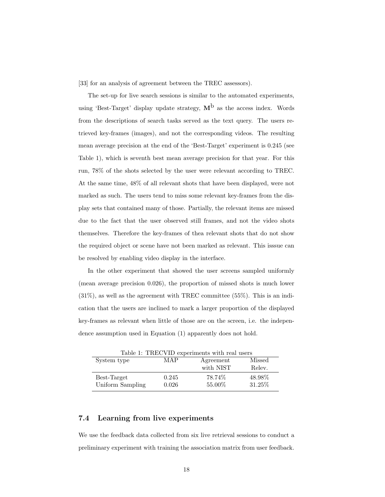[33] for an analysis of agreement between the TREC assessors).

The set-up for live search sessions is similar to the automated experiments, using 'Best-Target' display update strategy,  $M<sup>b</sup>$  as the access index. Words from the descriptions of search tasks served as the text query. The users retrieved key-frames (images), and not the corresponding videos. The resulting mean average precision at the end of the 'Best-Target' experiment is 0.245 (see Table 1), which is seventh best mean average precision for that year. For this run, 78% of the shots selected by the user were relevant according to TREC. At the same time, 48% of all relevant shots that have been displayed, were not marked as such. The users tend to miss some relevant key-frames from the display sets that contained many of those. Partially, the relevant items are missed due to the fact that the user observed still frames, and not the video shots themselves. Therefore the key-frames of thea relevant shots that do not show the required object or scene have not been marked as relevant. This isssue can be resolved by enabling video display in the interface.

In the other experiment that showed the user screens sampled uniformly (mean average precision 0.026), the proportion of missed shots is much lower  $(31\%)$ , as well as the agreement with TREC committee  $(55\%)$ . This is an indication that the users are inclined to mark a larger proportion of the displayed key-frames as relevant when little of those are on the screen, i.e. the independence assumption used in Equation (1) apparently does not hold.

| Table 1: TRECVID experiments with real users |       |           |         |  |
|----------------------------------------------|-------|-----------|---------|--|
| System type                                  | MAP   | Agreement | Missed  |  |
|                                              |       | with NIST | Relev.  |  |
| Best-Target                                  | 0.245 | 78.74\%   | 48.98%  |  |
| Uniform Sampling                             | 0.026 | 55.00%    | 31.25\% |  |

### 7.4 Learning from live experiments

We use the feedback data collected from six live retrieval sessions to conduct a preliminary experiment with training the association matrix from user feedback.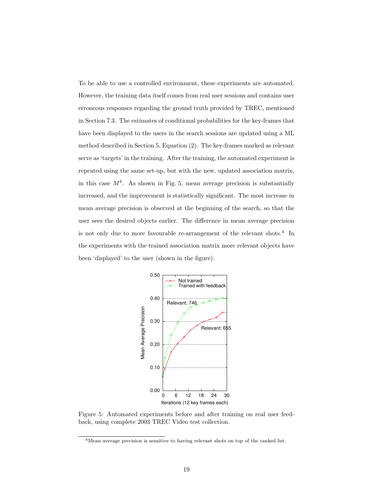To be able to use a controlled environment, these experiments are automated. However, the training data itself comes from real user sessions and contains user erroneous responses regarding the ground truth provided by TREC, mentioned in Section 7.3. The estimates of conditional probabilities for the key-frames that have been displayed to the users in the search sessions are updated using a ML method described in Section 5, Equation (2). The key-frames marked as relevant serve as 'targets' in the training. After the training, the automated experiment is repeated using the same set-up, but with the new, updated association matrix, in this case  $M^b$ . As shown in Fig. 5, mean average precision is substantially increased, and the improvement is statistically significant. The most increase in mean average precision is observed at the beginning of the search, so that the user sees the desired objects earlier. The difference in mean average precision is not only due to more favourable re-arrangement of the relevant shots.<sup>4</sup> In the experiments with the trained association matrix more relevant objects have been 'displayed' to the user (shown in the figure).



Figure 5: Automated experiments before and after training on real user feedback, using complete 2003 TREC Video test collection.

<sup>4</sup>Mean average precision is sensitive to having relevant shots on top of the ranked list.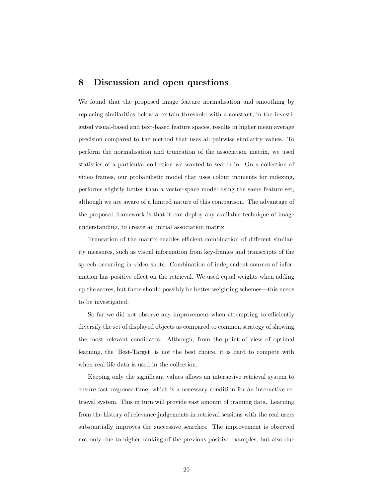# 8 Discussion and open questions

We found that the proposed image feature normalisation and smoothing by replacing similarities below a certain threshold with a constant, in the investigated visual-based and text-based feature spaces, results in higher mean average precision compared to the method that uses all pairwise similarity values. To perform the normalisation and truncation of the association matrix, we used statistics of a particular collection we wanted to search in. On a collection of video frames, our probabilistic model that uses colour moments for indexing, performs slightly better than a vector-space model using the same feature set, although we are aware of a limited nature of this comparison. The advantage of the proposed framework is that it can deploy any available technique of image understanding, to create an initial association matrix.

Truncation of the matrix enables efficient combination of different similarity measures, such as visual information from key-frames and transcripts of the speech occurring in video shots. Combination of independent sources of information has positive effect on the retrieval. We used equal weights when adding up the scores, but there should possibly be better weighting schemes—this needs to be investigated.

So far we did not observe any improvement when attempting to efficiently diversify the set of displayed objects as compared to common strategy of showing the most relevant candidates. Although, from the point of view of optimal learning, the 'Best-Target' is not the best choice, it is hard to compete with when real life data is used in the collection.

Keeping only the significant values allows an interactive retrieval system to ensure fast response time, which is a necessary condition for an interactive retrieval system. This in turn will provide vast amount of training data. Learning from the history of relevance judgements in retrieval sessions with the real users substantially improves the successive searches. The improvement is observed not only due to higher ranking of the previous positive examples, but also due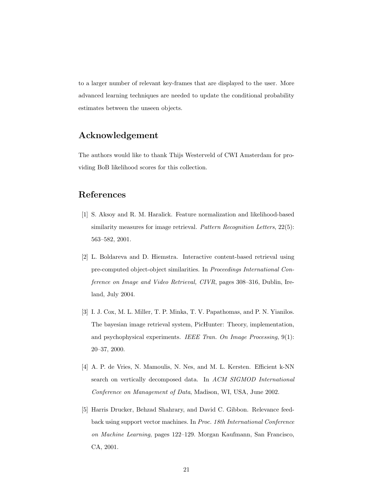to a larger number of relevant key-frames that are displayed to the user. More advanced learning techniques are needed to update the conditional probability estimates between the unseen objects.

# Acknowledgement

The authors would like to thank Thijs Westerveld of CWI Amsterdam for providing BoB likelihood scores for this collection.

# References

- [1] S. Aksoy and R. M. Haralick. Feature normalization and likelihood-based similarity measures for image retrieval. Pattern Recognition Letters, 22(5): 563–582, 2001.
- [2] L. Boldareva and D. Hiemstra. Interactive content-based retrieval using pre-computed object-object similarities. In Proceedings International Conference on Image and Video Retrieval, CIVR, pages 308–316, Dublin, Ireland, July 2004.
- [3] I. J. Cox, M. L. Miller, T. P. Minka, T. V. Papathomas, and P. N. Yianilos. The bayesian image retrieval system, PicHunter: Theory, implementation, and psychophysical experiments. IEEE Tran. On Image Processing, 9(1): 20–37, 2000.
- [4] A. P. de Vries, N. Mamoulis, N. Nes, and M. L. Kersten. Efficient k-NN search on vertically decomposed data. In ACM SIGMOD International Conference on Management of Data, Madison, WI, USA, June 2002.
- [5] Harris Drucker, Behzad Shahrary, and David C. Gibbon. Relevance feedback using support vector machines. In Proc. 18th International Conference on Machine Learning, pages 122–129. Morgan Kaufmann, San Francisco, CA, 2001.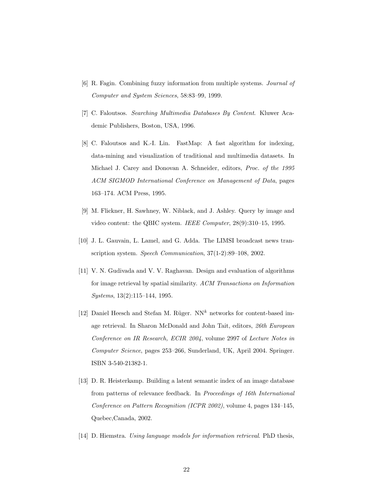- [6] R. Fagin. Combining fuzzy information from multiple systems. Journal of Computer and System Sciences, 58:83–99, 1999.
- [7] C. Faloutsos. Searching Multimedia Databases By Content. Kluwer Academic Publishers, Boston, USA, 1996.
- [8] C. Faloutsos and K.-I. Lin. FastMap: A fast algorithm for indexing, data-mining and visualization of traditional and multimedia datasets. In Michael J. Carey and Donovan A. Schneider, editors, Proc. of the 1995 ACM SIGMOD International Conference on Management of Data, pages 163–174. ACM Press, 1995.
- [9] M. Flickner, H. Sawhney, W. Niblack, and J. Ashley. Query by image and video content: the QBIC system. IEEE Computer, 28(9):310–15, 1995.
- [10] J. L. Gauvain, L. Lamel, and G. Adda. The LIMSI broadcast news transcription system. Speech Communication, 37(1-2):89–108, 2002.
- [11] V. N. Gudivada and V. V. Raghavan. Design and evaluation of algorithms for image retrieval by spatial similarity. ACM Transactions on Information Systems, 13(2):115–144, 1995.
- [12] Daniel Heesch and Stefan M. Rüger.  $NN<sup>k</sup>$  networks for content-based image retrieval. In Sharon McDonald and John Tait, editors, 26th European Conference on IR Research, ECIR 2004, volume 2997 of Lecture Notes in Computer Science, pages 253–266, Sunderland, UK, April 2004. Springer. ISBN 3-540-21382-1.
- [13] D. R. Heisterkamp. Building a latent semantic index of an image database from patterns of relevance feedback. In Proceedings of 16th International Conference on Pattern Recognition (ICPR 2002), volume 4, pages 134–145, Quebec,Canada, 2002.
- [14] D. Hiemstra. Using language models for information retrieval. PhD thesis,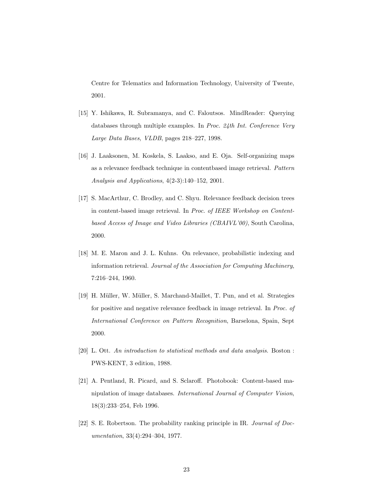Centre for Telematics and Information Technology, University of Twente, 2001.

- [15] Y. Ishikawa, R. Subramanya, and C. Faloutsos. MindReader: Querying databases through multiple examples. In Proc. 24th Int. Conference Very Large Data Bases, VLDB, pages 218–227, 1998.
- [16] J. Laaksonen, M. Koskela, S. Laakso, and E. Oja. Self-organizing maps as a relevance feedback technique in contentbased image retrieval. Pattern Analysis and Applications, 4(2-3):140–152, 2001.
- [17] S. MacArthur, C. Brodley, and C. Shyu. Relevance feedback decision trees in content-based image retrieval. In Proc. of IEEE Workshop on Contentbased Access of Image and Video Libraries (CBAIVL'00), South Carolina, 2000.
- [18] M. E. Maron and J. L. Kuhns. On relevance, probabilistic indexing and information retrieval. Journal of the Association for Computing Machinery, 7:216–244, 1960.
- [19] H. Müller, W. Müller, S. Marchand-Maillet, T. Pun, and et al. Strategies for positive and negative relevance feedback in image retrieval. In Proc. of International Conference on Pattern Recognition, Barselona, Spain, Sept 2000.
- [20] L. Ott. An introduction to statistical methods and data analysis. Boston : PWS-KENT, 3 edition, 1988.
- [21] A. Pentland, R. Picard, and S. Sclaroff. Photobook: Content-based manipulation of image databases. International Journal of Computer Vision, 18(3):233–254, Feb 1996.
- [22] S. E. Robertson. The probability ranking principle in IR. Journal of Documentation, 33(4):294–304, 1977.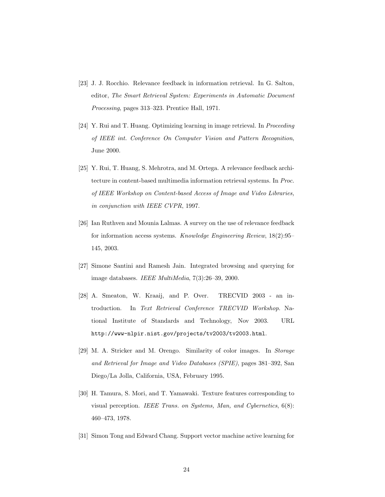- [23] J. J. Rocchio. Relevance feedback in information retrieval. In G. Salton, editor, The Smart Retrieval System: Experiments in Automatic Document Processing, pages 313–323. Prentice Hall, 1971.
- [24] Y. Rui and T. Huang. Optimizing learning in image retrieval. In Proceeding of IEEE int. Conference On Computer Vision and Pattern Recognition, June 2000.
- [25] Y. Rui, T. Huang, S. Mehrotra, and M. Ortega. A relevance feedback architecture in content-based multimedia information retrieval systems. In Proc. of IEEE Workshop on Content-based Access of Image and Video Libraries, in conjunction with IEEE CVPR, 1997.
- [26] Ian Ruthven and Mounia Lalmas. A survey on the use of relevance feedback for information access systems. Knowledge Engineering Review, 18(2):95– 145, 2003.
- [27] Simone Santini and Ramesh Jain. Integrated browsing and querying for image databases. IEEE MultiMedia, 7(3):26–39, 2000.
- [28] A. Smeaton, W. Kraaij, and P. Over. TRECVID 2003 an introduction. In Text Retrieval Conference TRECVID Workshop. National Institute of Standards and Technology, Nov 2003. URL http://www-nlpir.nist.gov/projects/tv2003/tv2003.html.
- [29] M. A. Stricker and M. Orengo. Similarity of color images. In Storage and Retrieval for Image and Video Databases (SPIE), pages 381–392, San Diego/La Jolla, California, USA, February 1995.
- [30] H. Tamura, S. Mori, and T. Yamawaki. Texture features corresponding to visual perception. IEEE Trans. on Systems, Man, and Cybernetics, 6(8): 460–473, 1978.
- [31] Simon Tong and Edward Chang. Support vector machine active learning for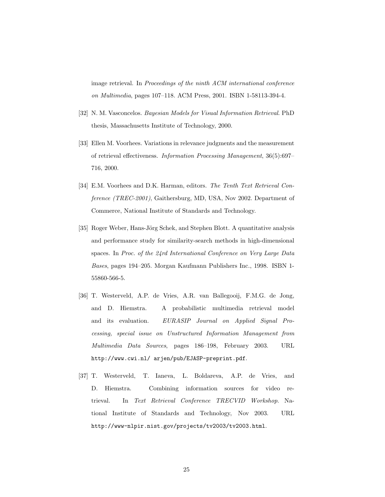image retrieval. In Proceedings of the ninth ACM international conference on Multimedia, pages 107–118. ACM Press, 2001. ISBN 1-58113-394-4.

- [32] N. M. Vasconcelos. Bayesian Models for Visual Information Retrieval. PhD thesis, Massachusetts Institute of Technology, 2000.
- [33] Ellen M. Voorhees. Variations in relevance judgments and the measurement of retrieval effectiveness. Information Processing Management, 36(5):697– 716, 2000.
- [34] E.M. Voorhees and D.K. Harman, editors. The Tenth Text Retrieval Conference (TREC-2001), Gaithersburg, MD, USA, Nov 2002. Department of Commerce, National Institute of Standards and Technology.
- [35] Roger Weber, Hans-Jörg Schek, and Stephen Blott. A quantitative analysis and performance study for similarity-search methods in high-dimensional spaces. In Proc. of the 24rd International Conference on Very Large Data Bases, pages 194–205. Morgan Kaufmann Publishers Inc., 1998. ISBN 1- 55860-566-5.
- [36] T. Westerveld, A.P. de Vries, A.R. van Ballegooij, F.M.G. de Jong, and D. Hiemstra. A probabilistic multimedia retrieval model and its evaluation. EURASIP Journal on Applied Signal Processing, special issue on Unstructured Information Management from Multimedia Data Sources, pages 186–198, February 2003. URL http://www.cwi.nl/ arjen/pub/EJASP-preprint.pdf.
- [37] T. Westerveld, T. Ianeva, L. Boldareva, A.P. de Vries, and D. Hiemstra. Combining information sources for video retrieval. In Text Retrieval Conference TRECVID Workshop. National Institute of Standards and Technology, Nov 2003. URL http://www-nlpir.nist.gov/projects/tv2003/tv2003.html.